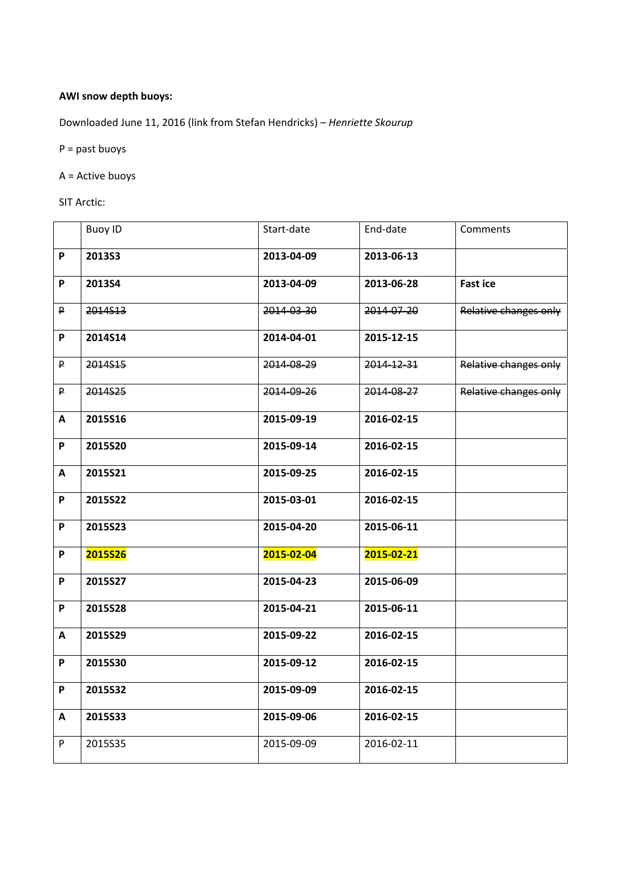## **AWI snow depth buoys:**

Downloaded June 11, 2016 (link from Stefan Hendricks) – *Henriette Skourup*

P = past buoys

A = Active buoys

SIT Arctic:

|                           | <b>Buoy ID</b> | Start-date | End-date   | Comments              |
|---------------------------|----------------|------------|------------|-----------------------|
| P                         | 201353         | 2013-04-09 | 2013-06-13 |                       |
| $\mathsf P$               | 2013S4         | 2013-04-09 | 2013-06-28 | <b>Fast ice</b>       |
| P                         | 2014513        | 2014-03-30 | 2014-07-20 | Relative changes only |
| P                         | 2014S14        | 2014-04-01 | 2015-12-15 |                       |
| $\mathsf{P}$              | 2014S15        | 2014-08-29 | 2014-12-31 | Relative changes only |
| $\mathsf P$               | 2014S25        | 2014-09-26 | 2014-08-27 | Relative changes only |
| A                         | 2015S16        | 2015-09-19 | 2016-02-15 |                       |
| $\boldsymbol{\mathsf{P}}$ | 2015S20        | 2015-09-14 | 2016-02-15 |                       |
| A                         | 2015S21        | 2015-09-25 | 2016-02-15 |                       |
| $\boldsymbol{\mathsf{P}}$ | <b>2015S22</b> | 2015-03-01 | 2016-02-15 |                       |
| P                         | 2015S23        | 2015-04-20 | 2015-06-11 |                       |
| $\boldsymbol{\mathsf{P}}$ | <b>2015S26</b> | 2015-02-04 | 2015-02-21 |                       |
| $\mathsf P$               | 2015S27        | 2015-04-23 | 2015-06-09 |                       |
| $\boldsymbol{\mathsf{P}}$ | 2015S28        | 2015-04-21 | 2015-06-11 |                       |
| $\mathbf{A}$              | 2015S29        | 2015-09-22 | 2016-02-15 |                       |
| P                         | 2015S30        | 2015-09-12 | 2016-02-15 |                       |
| P                         | 2015S32        | 2015-09-09 | 2016-02-15 |                       |
| A                         | 2015S33        | 2015-09-06 | 2016-02-15 |                       |
| $\boldsymbol{\mathsf{P}}$ | 2015S35        | 2015-09-09 | 2016-02-11 |                       |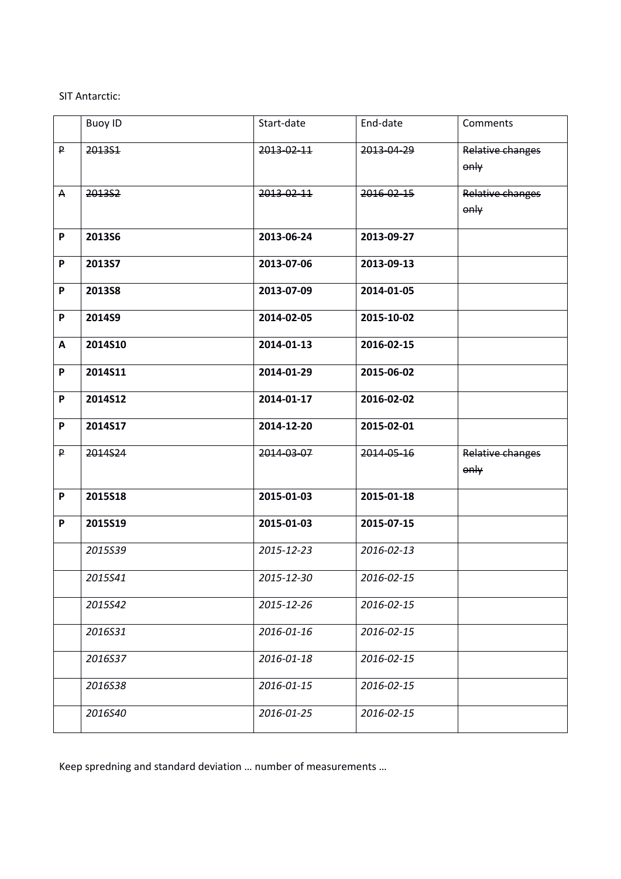## SIT Antarctic:

|              | <b>Buoy ID</b> | Start-date | End-date   | Comments                 |
|--------------|----------------|------------|------------|--------------------------|
| P            | 2013S1         | 2013-02-11 | 2013-04-29 | Relative changes<br>only |
| $\mathsf{A}$ | 201352         | 2013-02-11 | 2016-02-15 | Relative changes<br>only |
| P            | <b>2013S6</b>  | 2013-06-24 | 2013-09-27 |                          |
| P            | 2013S7         | 2013-07-06 | 2013-09-13 |                          |
| P            | <b>2013S8</b>  | 2013-07-09 | 2014-01-05 |                          |
| P            | 2014S9         | 2014-02-05 | 2015-10-02 |                          |
| A            | 2014S10        | 2014-01-13 | 2016-02-15 |                          |
| P            | 2014S11        | 2014-01-29 | 2015-06-02 |                          |
| P            | 2014S12        | 2014-01-17 | 2016-02-02 |                          |
| P            | 2014S17        | 2014-12-20 | 2015-02-01 |                          |
| P            | 2014S24        | 2014-03-07 | 2014-05-16 | Relative changes<br>only |
| P            | 2015S18        | 2015-01-03 | 2015-01-18 |                          |
| P            | 2015S19        | 2015-01-03 | 2015-07-15 |                          |
|              | 2015539        | 2015-12-23 | 2016-02-13 |                          |
|              | 2015S41        | 2015-12-30 | 2016-02-15 |                          |
|              | 2015S42        | 2015-12-26 | 2016-02-15 |                          |
|              | 2016531        | 2016-01-16 | 2016-02-15 |                          |
|              | 2016S37        | 2016-01-18 | 2016-02-15 |                          |
|              | 2016S38        | 2016-01-15 | 2016-02-15 |                          |
|              | 2016S40        | 2016-01-25 | 2016-02-15 |                          |

Keep spredning and standard deviation … number of measurements …